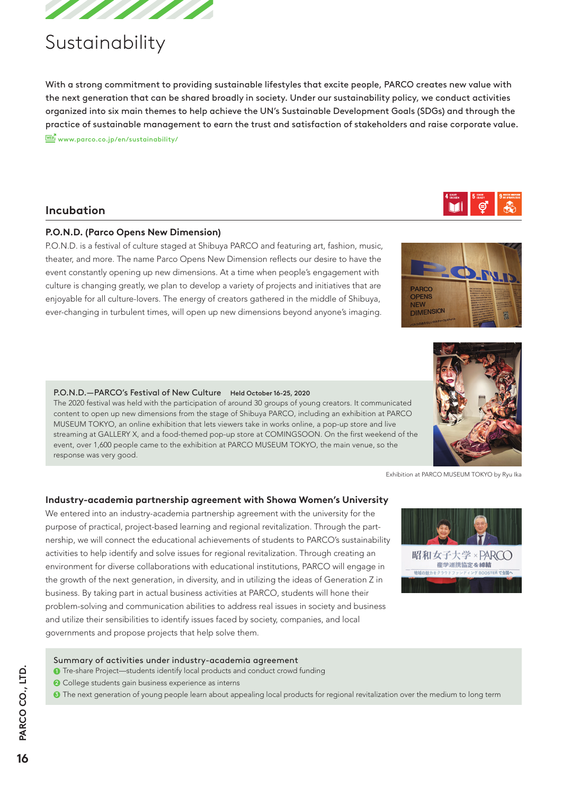

# Sustainability

With a strong commitment to providing sustainable lifestyles that excite people, PARCO creates new value with the next generation that can be shared broadly in society. Under our sustainability policy, we conduct activities organized into six main themes to help achieve the UN's Sustainable Development Goals (SDGs) and through the practice of sustainable management to earn the trust and satisfaction of stakeholders and raise corporate value. **WEB**<sup>N</sup> www.parco.co.jp/en/sustainability/

# **Incubation**

# **P.O.N.D. (Parco Opens New Dimension)**

P.O.N.D. is a festival of culture staged at Shibuya PARCO and featuring art, fashion, music, theater, and more. The name Parco Opens New Dimension reflects our desire to have the event constantly opening up new dimensions. At a time when people's engagement with culture is changing greatly, we plan to develop a variety of projects and initiatives that are enjoyable for all culture-lovers. The energy of creators gathered in the middle of Shibuya, ever-changing in turbulent times, will open up new dimensions beyond anyone's imaging.

#### P.O.N.D.—PARCO's Festival of New Culture Held October 16-25, 2020

The 2020 festival was held with the participation of around 30 groups of young creators. It communicated content to open up new dimensions from the stage of Shibuya PARCO, including an exhibition at PARCO MUSEUM TOKYO, an online exhibition that lets viewers take in works online, a pop-up store and live streaming at GALLERY X, and a food-themed pop-up store at COMINGSOON. On the first weekend of the event, over 1,600 people came to the exhibition at PARCO MUSEUM TOKYO, the main venue, so the response was very good.

Exhibition at PARCO MUSEUM TOKYO by Ryu Ika

# **Industry-academia partnership agreement with Showa Women's University**

We entered into an industry-academia partnership agreement with the university for the purpose of practical, project-based learning and regional revitalization. Through the partnership, we will connect the educational achievements of students to PARCO's sustainability activities to help identify and solve issues for regional revitalization. Through creating an environment for diverse collaborations with educational institutions, PARCO will engage in the growth of the next generation, in diversity, and in utilizing the ideas of Generation Z in business. By taking part in actual business activities at PARCO, students will hone their problem-solving and communication abilities to address real issues in society and business and utilize their sensibilities to identify issues faced by society, companies, and local governments and propose projects that help solve them.



#### Summary of activities under industry-academia agreement

- **1** Tre-share Project—students identify local products and conduct crowd funding
- <sup>2</sup> College students gain business experience as interns
- <sup>3</sup> The next generation of young people learn about appealing local products for regional revitalization over the medium to long term



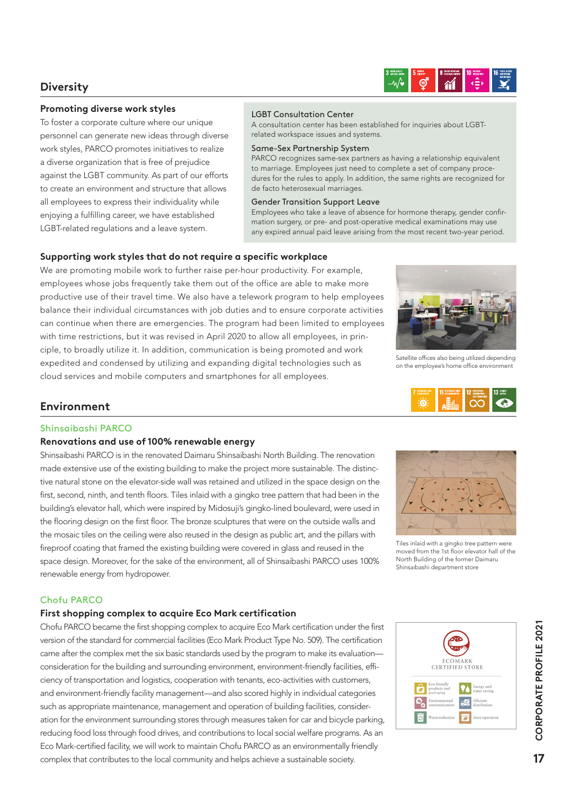# **Diversity**



### **Promoting diverse work styles**

To foster a corporate culture where our unique personnel can generate new ideas through diverse work styles, PARCO promotes initiatives to realize a diverse organization that is free of prejudice against the LGBT community. As part of our efforts to create an environment and structure that allows all employees to express their individuality while enjoying a fulfilling career, we have established LGBT-related regulations and a leave system.

#### LGBT Consultation Center

A consultation center has been established for inquiries about LGBTrelated workspace issues and systems.

#### Same-Sex Partnership System

PARCO recognizes same-sex partners as having a relationship equivalent to marriage. Employees just need to complete a set of company procedures for the rules to apply. In addition, the same rights are recognized for de facto heterosexual marriages.

#### Gender Transition Support Leave

Employees who take a leave of absence for hormone therapy, gender confirmation surgery, or pre- and post-operative medical examinations may use any expired annual paid leave arising from the most recent two-year period.

### **Supporting work styles that do not require a specific workplace**

We are promoting mobile work to further raise per-hour productivity. For example, employees whose jobs frequently take them out of the office are able to make more productive use of their travel time. We also have a telework program to help employees balance their individual circumstances with job duties and to ensure corporate activities can continue when there are emergencies. The program had been limited to employees with time restrictions, but it was revised in April 2020 to allow all employees, in principle, to broadly utilize it. In addition, communication is being promoted and work expedited and condensed by utilizing and expanding digital technologies such as cloud services and mobile computers and smartphones for all employees.



Satellite offices also being utilized depending on the employee's home office environment



# **Environment**

## Shinsaibashi PARCO

## **Renovations and use of 100% renewable energy**

Shinsaibashi PARCO is in the renovated Daimaru Shinsaibashi North Building. The renovation made extensive use of the existing building to make the project more sustainable. The distinctive natural stone on the elevator-side wall was retained and utilized in the space design on the first, second, ninth, and tenth floors. Tiles inlaid with a gingko tree pattern that had been in the building's elevator hall, which were inspired by Midosuji's gingko-lined boulevard, were used in the flooring design on the first floor. The bronze sculptures that were on the outside walls and the mosaic tiles on the ceiling were also reused in the design as public art, and the pillars with fireproof coating that framed the existing building were covered in glass and reused in the space design. Moreover, for the sake of the environment, all of Shinsaibashi PARCO uses 100% renewable energy from hydropower.



Tiles inlaid with a gingko tree pattern were moved from the 1st floor elevator hall of the North Building of the former Daimaru Shinsaibashi department store

## Chofu PARCO

## **First shopping complex to acquire Eco Mark certification**

Chofu PARCO became the first shopping complex to acquire Eco Mark certification under the first version of the standard for commercial facilities (Eco Mark Product Type No. 509). The certification came after the complex met the six basic standards used by the program to make its evaluation consideration for the building and surrounding environment, environment-friendly facilities, efficiency of transportation and logistics, cooperation with tenants, eco-activities with customers, and environment-friendly facility management—and also scored highly in individual categories such as appropriate maintenance, management and operation of building facilities, consideration for the environment surrounding stores through measures taken for car and bicycle parking, reducing food loss through food drives, and contributions to local social welfare programs. As an Eco Mark-certified facility, we will work to maintain Chofu PARCO as an environmentally friendly complex that contributes to the local community and helps achieve a sustainable society.



 $17$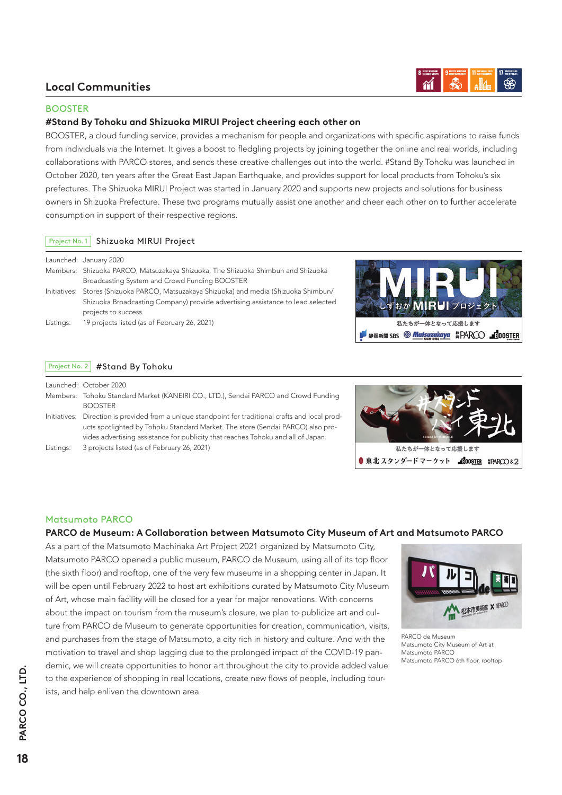# **Local Communities**



### BOOSTER

## **#Stand By Tohoku and Shizuoka MIRUI Project cheering each other on**

BOOSTER, a cloud funding service, provides a mechanism for people and organizations with specific aspirations to raise funds from individuals via the Internet. It gives a boost to fledgling projects by joining together the online and real worlds, including collaborations with PARCO stores, and sends these creative challenges out into the world. #Stand By Tohoku was launched in October 2020, ten years after the Great East Japan Earthquake, and provides support for local products from Tohoku's six prefectures. The Shizuoka MIRUI Project was started in January 2020 and supports new projects and solutions for business owners in Shizuoka Prefecture. These two programs mutually assist one another and cheer each other on to further accelerate consumption in support of their respective regions.

### Project No. 1 Shizuoka MIRUI Project

|           | Launched: January 2020                                                                  |
|-----------|-----------------------------------------------------------------------------------------|
|           | Members: Shizuoka PARCO, Matsuzakaya Shizuoka, The Shizuoka Shimbun and Shizuoka        |
|           | Broadcasting System and Crowd Funding BOOSTER                                           |
|           | Initiatives: Stores (Shizuoka PARCO, Matsuzakaya Shizuoka) and media (Shizuoka Shimbun/ |
|           | Shizuoka Broadcasting Company) provide advertising assistance to lead selected          |
|           | projects to success.                                                                    |
| Listings: | 19 projects listed (as of February 26, 2021)                                            |
|           |                                                                                         |



# Project No. 2 #Stand By Tohoku

|           | Launched: October 2020                                                                             |
|-----------|----------------------------------------------------------------------------------------------------|
|           | Members: Tohoku Standard Market (KANEIRI CO., LTD.), Sendai PARCO and Crowd Funding                |
|           | <b>BOOSTER</b>                                                                                     |
|           | Initiatives: Direction is provided from a unique standpoint for traditional crafts and local prod- |
|           | ucts spotlighted by Tohoku Standard Market. The store (Sendai PARCO) also pro-                     |
|           | vides advertising assistance for publicity that reaches Tohoku and all of Japan.                   |
| Listings: | 3 projects listed (as of February 26, 2021)                                                        |



## Matsumoto PARCO

## **PARCO de Museum: A Collaboration between Matsumoto City Museum of Art and Matsumoto PARCO**

As a part of the Matsumoto Machinaka Art Project 2021 organized by Matsumoto City, Matsumoto PARCO opened a public museum, PARCO de Museum, using all of its top floor (the sixth floor) and rooftop, one of the very few museums in a shopping center in Japan. It will be open until February 2022 to host art exhibitions curated by Matsumoto City Museum of Art, whose main facility will be closed for a year for major renovations. With concerns about the impact on tourism from the museum's closure, we plan to publicize art and culture from PARCO de Museum to generate opportunities for creation, communication, visits, and purchases from the stage of Matsumoto, a city rich in history and culture. And with the motivation to travel and shop lagging due to the prolonged impact of the COVID-19 pandemic, we will create opportunities to honor art throughout the city to provide added value to the experience of shopping in real locations, create new flows of people, including tourists, and help enliven the downtown area.



PARCO de Museum Matsumoto City Museum of Art at Matsumoto PARCO Matsumoto PARCO 6th floor, rooftop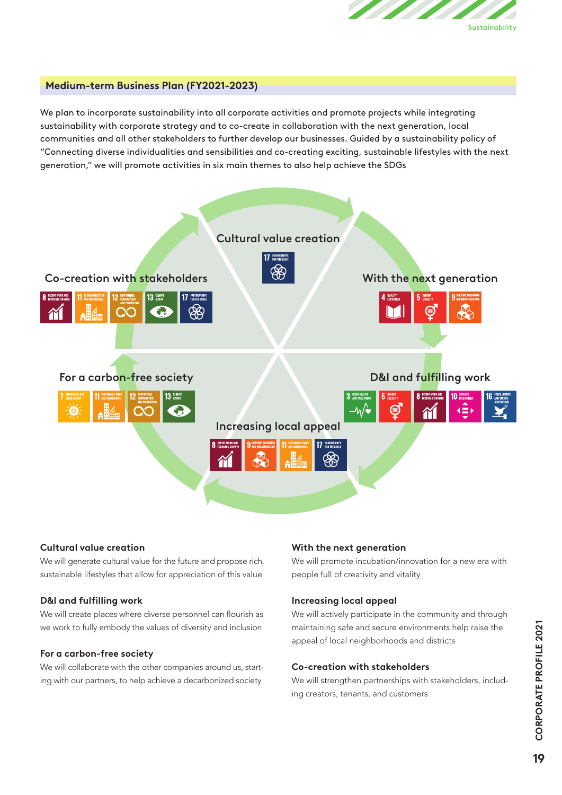

# **Medium-term Business Plan (FY2021-2023)**

We plan to incorporate sustainability into all corporate activities and promote projects while integrating sustainability with corporate strategy and to co-create in collaboration with the next generation, local communities and all other stakeholders to further develop our businesses. Guided by a sustainability policy of "Connecting diverse individualities and sensibilities and co-creating exciting, sustainable lifestyles with the next generation," we will promote activities in six main themes to also help achieve the SDGs



#### **Cultural value creation**

We will generate cultural value for the future and propose rich, sustainable lifestyles that allow for appreciation of this value

#### **D&I and fulfilling work**

We will create places where diverse personnel can flourish as we work to fully embody the values of diversity and inclusion

#### **For a carbon-free society**

We will collaborate with the other companies around us, starting with our partners, to help achieve a decarbonized society

#### **With the next generation**

We will promote incubation/innovation for a new era with people full of creativity and vitality

#### **Increasing local appeal**

We will actively participate in the community and through maintaining safe and secure environments help raise the appeal of local neighborhoods and districts

#### **Co-creation with stakeholders**

We will strengthen partnerships with stakeholders, including creators, tenants, and customers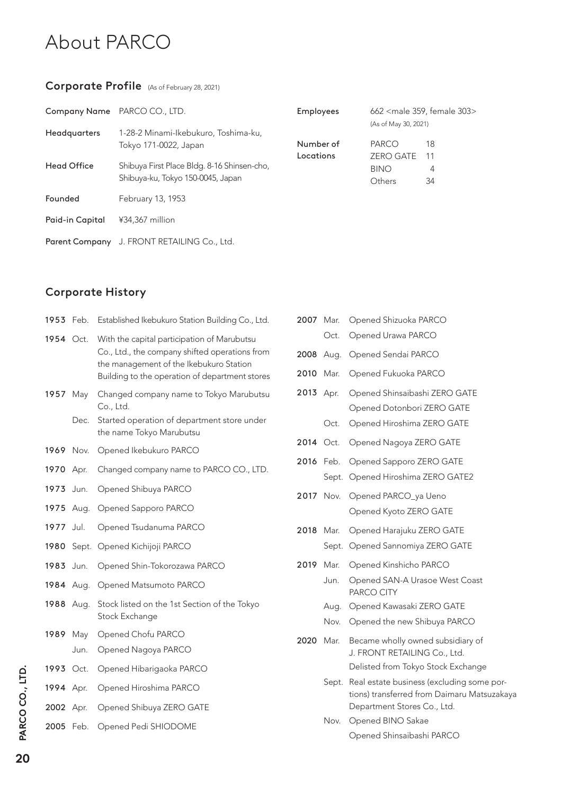# About PARCO

# Corporate Profile (As of February 28, 2021)

|                       | Company Name PARCO CO., LTD.                | <b>Employees</b> |                      | 662 <male 303="" 359,="" female=""></male> |
|-----------------------|---------------------------------------------|------------------|----------------------|--------------------------------------------|
| <b>Headquarters</b>   | 1-28-2 Minami-Ikebukuro, Toshima-ku,        |                  | (As of May 30, 2021) |                                            |
|                       | Tokyo 171-0022, Japan                       | Number of        | PARCO                | 18                                         |
|                       |                                             | Locations        | <b>ZERO GATE</b>     | 11                                         |
| Head Office           | Shibuya First Place Bldg. 8-16 Shinsen-cho, |                  | <b>BINO</b>          | 4                                          |
|                       | Shibuya-ku, Tokyo 150-0045, Japan           |                  | Others               | 34                                         |
| Founded               | February 13, 1953                           |                  |                      |                                            |
| Paid-in Capital       | ¥34,367 million                             |                  |                      |                                            |
| <b>Parent Company</b> | J. FRONT RETAILING Co., Ltd.                |                  |                      |                                            |

# Corporate History

| 1953 | Feb.  | Established Ikebukuro Station Building Co., Ltd.                                                                                                                                           |
|------|-------|--------------------------------------------------------------------------------------------------------------------------------------------------------------------------------------------|
| 1954 | Oct.  | With the capital participation of Marubutsu<br>Co., Ltd., the company shifted operations from<br>the management of the Ikebukuro Station<br>Building to the operation of department stores |
| 1957 | May   | Changed company name to Tokyo Marubutsu<br>Co., Ltd.                                                                                                                                       |
|      | Dec.  | Started operation of department store under<br>the name Tokyo Marubutsu                                                                                                                    |
| 1969 | Nov.  | Opened Ikebukuro PARCO                                                                                                                                                                     |
| 1970 | Apr.  | Changed company name to PARCO CO., LTD.                                                                                                                                                    |
| 1973 | Jun.  | Opened Shibuya PARCO                                                                                                                                                                       |
| 1975 | Aug.  | Opened Sapporo PARCO                                                                                                                                                                       |
| 1977 | Jul.  | Opened Tsudanuma PARCO                                                                                                                                                                     |
| 1980 | Sept. | Opened Kichijoji PARCO                                                                                                                                                                     |
| 1983 | Jun.  | Opened Shin-Tokorozawa PARCO                                                                                                                                                               |
| 1984 | Aug.  | Opened Matsumoto PARCO                                                                                                                                                                     |
| 1988 | Aug.  | Stock listed on the 1st Section of the Tokyo<br>Stock Exchange                                                                                                                             |
| 1989 | May   | Opened Chofu PARCO                                                                                                                                                                         |
|      | Jun.  | Opened Nagoya PARCO                                                                                                                                                                        |
| 1993 | Oct.  | Opened Hibarigaoka PARCO                                                                                                                                                                   |
| 1994 | Apr.  | Opened Hiroshima PARCO                                                                                                                                                                     |
| 2002 | Apr.  | Opened Shibuya ZERO GATE                                                                                                                                                                   |
| 2005 | Feb.  | Opened Pedi SHIODOME                                                                                                                                                                       |

| 2007 | Mar.                         | Opened Shizuoka PARCO                                                                                                                                |
|------|------------------------------|------------------------------------------------------------------------------------------------------------------------------------------------------|
|      | Oct.                         | Opened Urawa PARCO                                                                                                                                   |
| 2008 | Aug.                         | Opened Sendai PARCO                                                                                                                                  |
| 2010 | Mar.                         | Opened Fukuoka PARCO                                                                                                                                 |
| 2013 | Apr.                         | Opened Shinsaibashi ZERO GATE                                                                                                                        |
|      | Oct.                         | Opened Dotonbori ZERO GATE<br>Opened Hiroshima ZERO GATE                                                                                             |
| 2014 | Oct.                         | Opened Nagoya ZERO GATE                                                                                                                              |
| 2016 | Feb.                         | Opened Sapporo ZERO GATE<br>Sept. Opened Hiroshima ZERO GATE2                                                                                        |
| 2017 | Nov.                         | Opened PARCO_ya Ueno<br>Opened Kyoto ZERO GATE                                                                                                       |
| 2018 | Mar.<br>Sept.                | Opened Harajuku ZERO GATE<br>Opened Sannomiya ZERO GATE                                                                                              |
| 2019 | Mar.<br>Jun.<br>Aug.<br>Nov. | Opened Kinshicho PARCO<br>Opened SAN-A Urasoe West Coast<br>PARCO CITY<br>Opened Kawasaki ZERO GATE<br>Opened the new Shibuya PARCO                  |
| 2020 | Mar.<br>Sept.                | Became wholly owned subsidiary of<br>J. FRONT RETAILING Co., Ltd.<br>Delisted from Tokyo Stock Exchange<br>Real estate business (excluding some por- |
|      | Nov.                         | tions) transferred from Daimaru Matsuzakaya<br>Department Stores Co., Ltd.<br>Opened BINO Sakae<br>Opened Shinsaibashi PARCO                         |
|      |                              |                                                                                                                                                      |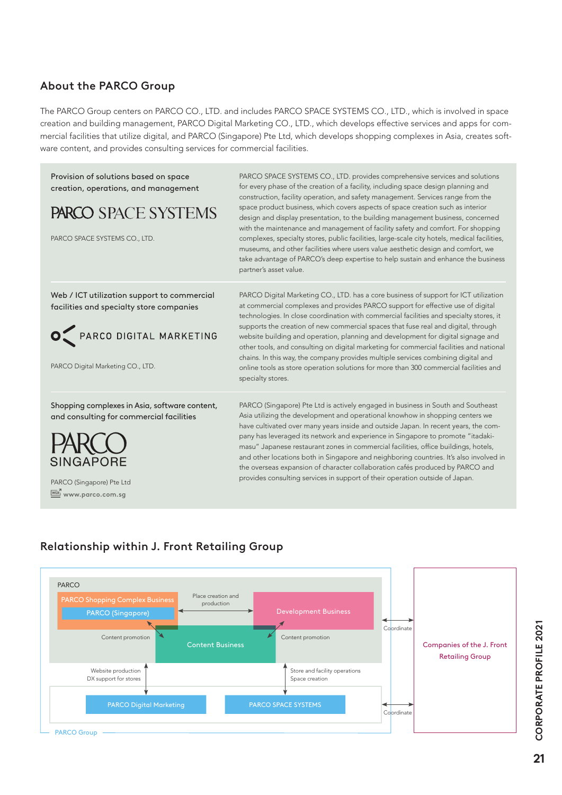# About the PARCO Group

The PARCO Group centers on PARCO CO., LTD. and includes PARCO SPACE SYSTEMS CO., LTD., which is involved in space creation and building management, PARCO Digital Marketing CO., LTD., which develops effective services and apps for commercial facilities that utilize digital, and PARCO (Singapore) Pte Ltd, which develops shopping complexes in Asia, creates software content, and provides consulting services for commercial facilities.



# Relationship within J. Front Retailing Group



CORPORATE PROFILE 2021 **21CORPORATE PROFILE 2021**